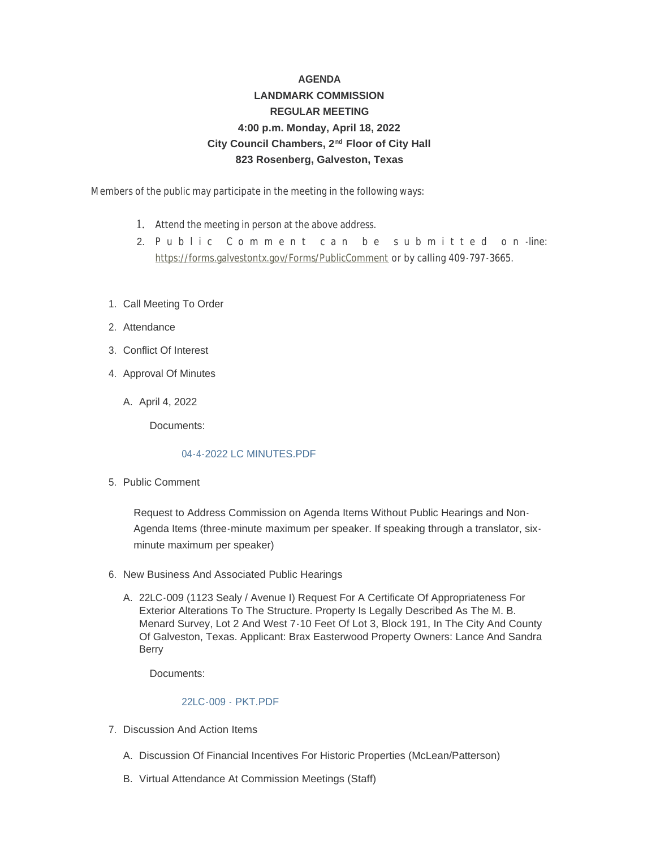## **AGENDA LANDMARK COMMISSION REGULAR MEETING 4:00 p.m. Monday, April 18, 2022** City Council Chambers, 2<sup>nd</sup> Floor of City Hall **823 Rosenberg, Galveston, Texas**

Members of the public may participate in the meeting in the following ways:

- 1. Attend the meeting in person at the above address.
- 2. [Public Comment can be](https://forms.galvestontx.gov/Forms/PublicComment) submitted on -line: https://forms.galvestontx.gov/Forms/PublicComment or by calling 409-797-3665.
- 1. Call Meeting To Order
- 2. Attendance
- Conflict Of Interest 3.
- 4. Approval Of Minutes
	- A. April 4, 2022

Documents:

## [04-4-2022 LC MINUTES.PDF](https://www.galvestontx.gov/AgendaCenter/ViewFile/Item/14063?fileID=32681)

5. Public Comment

Request to Address Commission on Agenda Items Without Public Hearings and Non-Agenda Items (three-minute maximum per speaker. If speaking through a translator, sixminute maximum per speaker)

- 6. New Business And Associated Public Hearings
	- A. 22LC-009 (1123 Sealy / Avenue I) Request For A Certificate Of Appropriateness For Exterior Alterations To The Structure. Property Is Legally Described As The M. B. Menard Survey, Lot 2 And West 7-10 Feet Of Lot 3, Block 191, In The City And County Of Galveston, Texas. Applicant: Brax Easterwood Property Owners: Lance And Sandra Berry

Documents:

## [22LC-009 - PKT.PDF](https://www.galvestontx.gov/AgendaCenter/ViewFile/Item/14040?fileID=32679)

- 7. Discussion And Action Items
	- A. Discussion Of Financial Incentives For Historic Properties (McLean/Patterson)
	- B. Virtual Attendance At Commission Meetings (Staff)